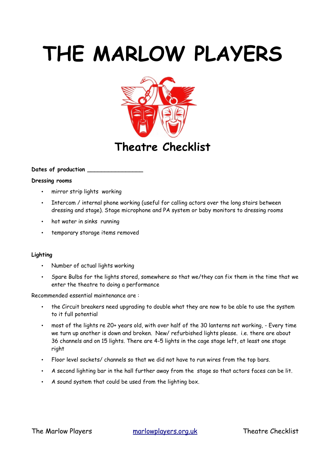# **THE MARLOW PLAYERS**



### **Dates of production \_\_\_\_\_\_\_\_\_\_\_\_\_\_\_\_**

#### **Dressing rooms**

- mirror strip lights working
- Intercom / internal phone working (useful for calling actors over the long stairs between dressing and stage). Stage microphone and PA system or baby monitors to dressing rooms
- hot water in sinks running
- temporary storage items removed

### **Lighting**

- Number of actual lights working
- Spare Bulbs for the lights stored, somewhere so that we/they can fix them in the time that we enter the theatre to doing a performance

#### Recommended essential maintenance are :

- the Circuit breakers need upgrading to double what they are now to be able to use the system to it full potential
- most of the lights re 20+ years old, with over half of the 30 lanterns not working, Every time we turn up another is down and broken. New/ refurbished lights please. i.e. there are about 36 channels and on 15 lights. There are 4-5 lights in the cage stage left, at least one stage right
- Floor level sockets/ channels so that we did not have to run wires from the top bars.
- A second lighting bar in the hall further away from the stage so that actors faces can be lit.
- A sound system that could be used from the lighting box.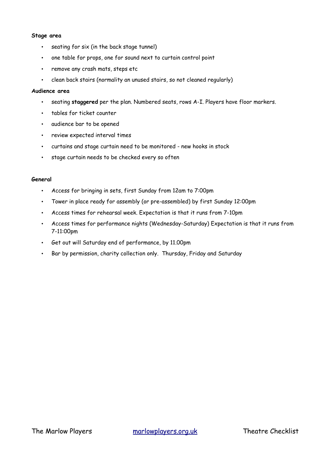#### **Stage area**

- seating for six (in the back stage tunnel)
- one table for props, one for sound next to curtain control point
- remove any crash mats, steps etc
- clean back stairs (normality an unused stairs, so not cleaned regularly)

#### **Audience area**

- seating **staggered** per the plan. Numbered seats, rows A-I. Players have floor markers.
- tables for ticket counter
- audience bar to be opened
- review expected interval times
- curtains and stage curtain need to be monitored new hooks in stock
- stage curtain needs to be checked every so often

#### **General**

- Access for bringing in sets, first Sunday from 12am to 7:00pm
- Tower in place ready for assembly (or pre-assembled) by first Sunday 12:00pm
- Access times for rehearsal week. Expectation is that it runs from 7-10pm
- Access times for performance nights (Wednesday-Saturday) Expectation is that it runs from 7-11:00pm
- Get out will Saturday end of performance, by 11.00pm
- Bar by permission, charity collection only. Thursday, Friday and Saturday